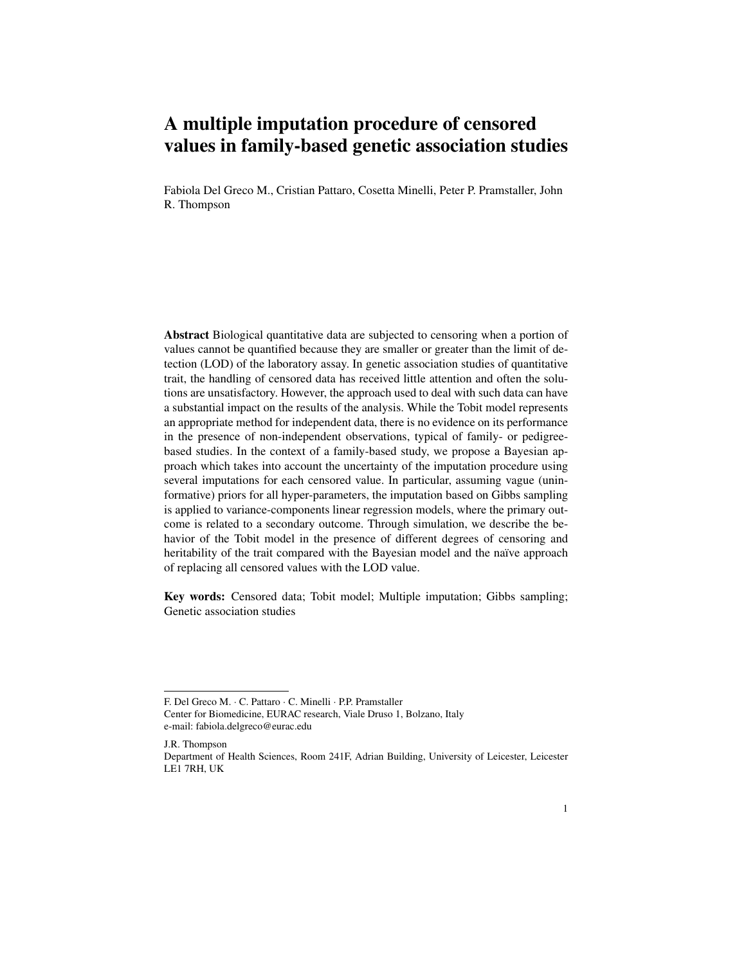# A multiple imputation procedure of censored values in family-based genetic association studies

Fabiola Del Greco M., Cristian Pattaro, Cosetta Minelli, Peter P. Pramstaller, John R. Thompson

Abstract Biological quantitative data are subjected to censoring when a portion of values cannot be quantified because they are smaller or greater than the limit of detection (LOD) of the laboratory assay. In genetic association studies of quantitative trait, the handling of censored data has received little attention and often the solutions are unsatisfactory. However, the approach used to deal with such data can have a substantial impact on the results of the analysis. While the Tobit model represents an appropriate method for independent data, there is no evidence on its performance in the presence of non-independent observations, typical of family- or pedigreebased studies. In the context of a family-based study, we propose a Bayesian approach which takes into account the uncertainty of the imputation procedure using several imputations for each censored value. In particular, assuming vague (uninformative) priors for all hyper-parameters, the imputation based on Gibbs sampling is applied to variance-components linear regression models, where the primary outcome is related to a secondary outcome. Through simulation, we describe the behavior of the Tobit model in the presence of different degrees of censoring and heritability of the trait compared with the Bayesian model and the naïve approach of replacing all censored values with the LOD value.

Key words: Censored data; Tobit model; Multiple imputation; Gibbs sampling; Genetic association studies

F. Del Greco M. · C. Pattaro · C. Minelli · P.P. Pramstaller

Center for Biomedicine, EURAC research, Viale Druso 1, Bolzano, Italy e-mail: fabiola.delgreco@eurac.edu

J.R. Thompson Department of Health Sciences, Room 241F, Adrian Building, University of Leicester, Leicester LE1 7RH, UK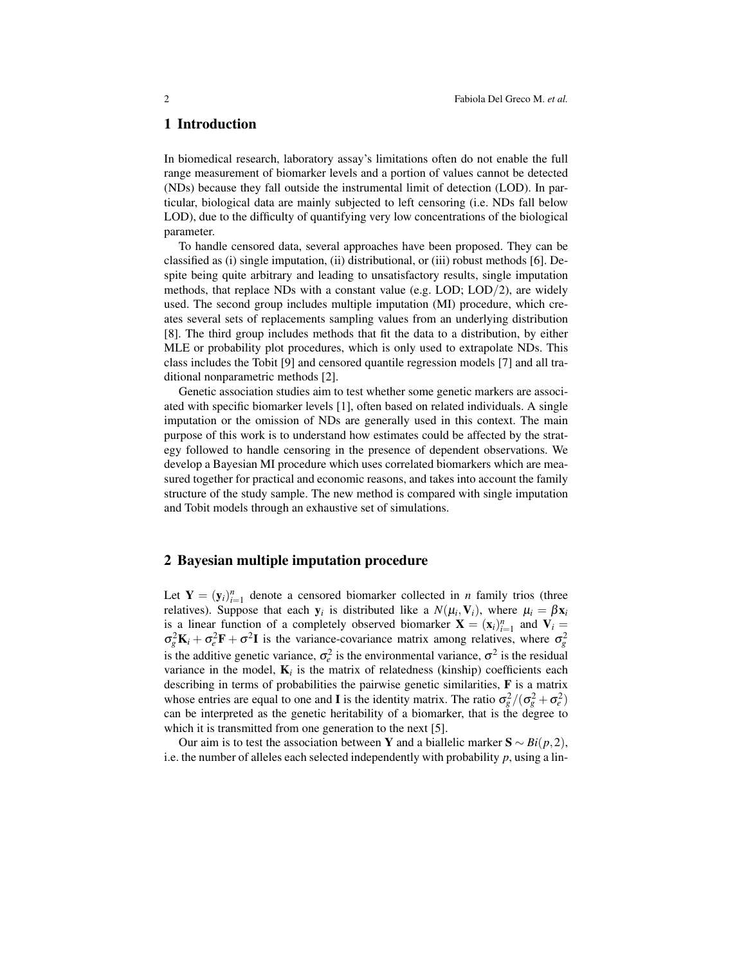## 1 Introduction

In biomedical research, laboratory assay's limitations often do not enable the full range measurement of biomarker levels and a portion of values cannot be detected (NDs) because they fall outside the instrumental limit of detection (LOD). In particular, biological data are mainly subjected to left censoring (i.e. NDs fall below LOD), due to the difficulty of quantifying very low concentrations of the biological parameter.

To handle censored data, several approaches have been proposed. They can be classified as (i) single imputation, (ii) distributional, or (iii) robust methods [6]. Despite being quite arbitrary and leading to unsatisfactory results, single imputation methods, that replace NDs with a constant value (e.g. LOD; LOD/2), are widely used. The second group includes multiple imputation (MI) procedure, which creates several sets of replacements sampling values from an underlying distribution [8]. The third group includes methods that fit the data to a distribution, by either MLE or probability plot procedures, which is only used to extrapolate NDs. This class includes the Tobit [9] and censored quantile regression models [7] and all traditional nonparametric methods [2].

Genetic association studies aim to test whether some genetic markers are associated with specific biomarker levels [1], often based on related individuals. A single imputation or the omission of NDs are generally used in this context. The main purpose of this work is to understand how estimates could be affected by the strategy followed to handle censoring in the presence of dependent observations. We develop a Bayesian MI procedure which uses correlated biomarkers which are measured together for practical and economic reasons, and takes into account the family structure of the study sample. The new method is compared with single imputation and Tobit models through an exhaustive set of simulations.

### 2 Bayesian multiple imputation procedure

Let  $Y = (y_i)_{i=1}^n$  denote a censored biomarker collected in *n* family trios (three relatives). Suppose that each  $y_i$  is distributed like a  $N(\mu_i, V_i)$ , where  $\mu_i = \beta x_i$ is a linear function of a completely observed biomarker  $\mathbf{X} = (\mathbf{x}_i)_{i=1}^n$  and  $\mathbf{V}_i =$  $\sigma_g^2 \mathbf{K}_i + \sigma_e^2 \mathbf{F} + \sigma^2 \mathbf{I}$  is the variance-covariance matrix among relatives, where  $\sigma_g^2$ is the additive genetic variance,  $\sigma_e^2$  is the environmental variance,  $\sigma^2$  is the residual variance in the model,  $K_i$  is the matrix of relatedness (kinship) coefficients each describing in terms of probabilities the pairwise genetic similarities, F is a matrix whose entries are equal to one and **I** is the identity matrix. The ratio  $\sigma_g^2/(\sigma_g^2 + \sigma_e^2)$ can be interpreted as the genetic heritability of a biomarker, that is the degree to which it is transmitted from one generation to the next [5].

Our aim is to test the association between Y and a biallelic marker  $S \sim Bi(p, 2)$ , i.e. the number of alleles each selected independently with probability *p*, using a lin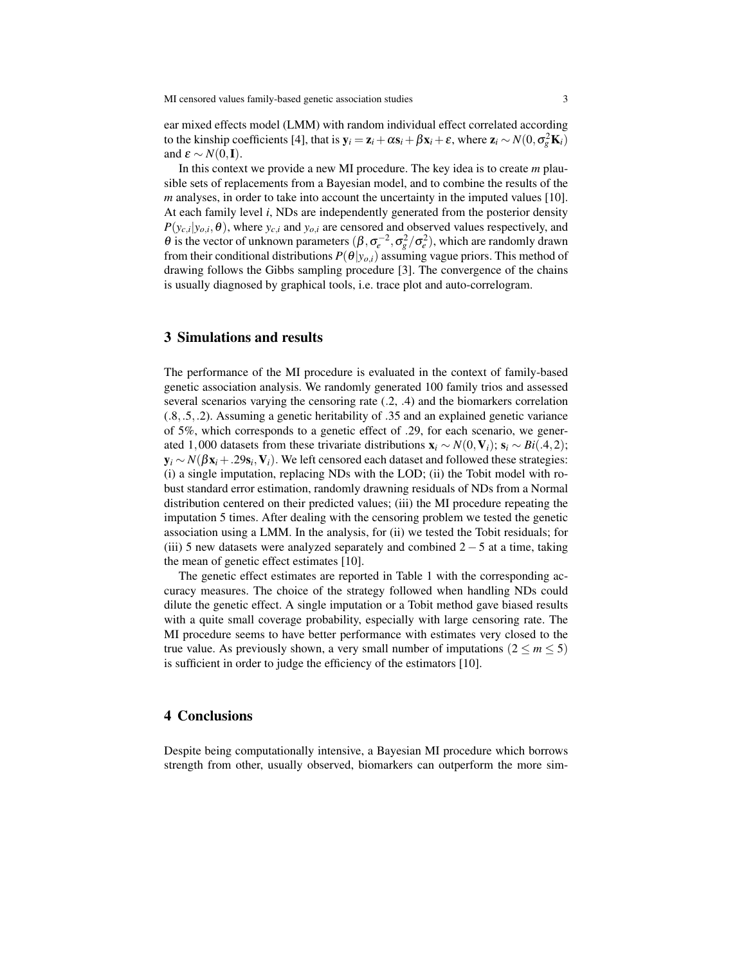ear mixed effects model (LMM) with random individual effect correlated according to the kinship coefficients [4], that is  $y_i = z_i + \alpha s_i + \beta x_i + \varepsilon$ , where  $z_i \sim N(0, \sigma_g^2 \mathbf{K}_i)$ and  $\varepsilon \sim N(0, I)$ .

In this context we provide a new MI procedure. The key idea is to create *m* plausible sets of replacements from a Bayesian model, and to combine the results of the *m* analyses, in order to take into account the uncertainty in the imputed values [10]. At each family level *i*, NDs are independently generated from the posterior density  $P(y_{c,i}|y_{o,i},\theta)$ , where  $y_{c,i}$  and  $y_{o,i}$  are censored and observed values respectively, and θ is the vector of unknown parameters  $(\beta, \sigma_e^{-2}, \sigma_g^2/\sigma_e^2)$ , which are randomly drawn from their conditional distributions  $P(\theta|y_{o,i})$  assuming vague priors. This method of drawing follows the Gibbs sampling procedure [3]. The convergence of the chains is usually diagnosed by graphical tools, i.e. trace plot and auto-correlogram.

## 3 Simulations and results

The performance of the MI procedure is evaluated in the context of family-based genetic association analysis. We randomly generated 100 family trios and assessed several scenarios varying the censoring rate (.2, .4) and the biomarkers correlation (.8,.5,.2). Assuming a genetic heritability of .35 and an explained genetic variance of 5%, which corresponds to a genetic effect of .29, for each scenario, we generated 1,000 datasets from these trivariate distributions  $\mathbf{x}_i \sim N(0, \mathbf{V}_i)$ ;  $\mathbf{s}_i \sim Bi(.4, 2)$ ; y*<sup>i</sup>* ∼ *N*(βx*<sup>i</sup>* +.29s*<sup>i</sup>* ,V*i*). We left censored each dataset and followed these strategies: (i) a single imputation, replacing NDs with the LOD; (ii) the Tobit model with robust standard error estimation, randomly drawning residuals of NDs from a Normal distribution centered on their predicted values; (iii) the MI procedure repeating the imputation 5 times. After dealing with the censoring problem we tested the genetic association using a LMM. In the analysis, for (ii) we tested the Tobit residuals; for (iii) 5 new datasets were analyzed separately and combined  $2-5$  at a time, taking the mean of genetic effect estimates [10].

The genetic effect estimates are reported in Table 1 with the corresponding accuracy measures. The choice of the strategy followed when handling NDs could dilute the genetic effect. A single imputation or a Tobit method gave biased results with a quite small coverage probability, especially with large censoring rate. The MI procedure seems to have better performance with estimates very closed to the true value. As previously shown, a very small number of imputations  $(2 \le m \le 5)$ is sufficient in order to judge the efficiency of the estimators [10].

## 4 Conclusions

Despite being computationally intensive, a Bayesian MI procedure which borrows strength from other, usually observed, biomarkers can outperform the more sim-